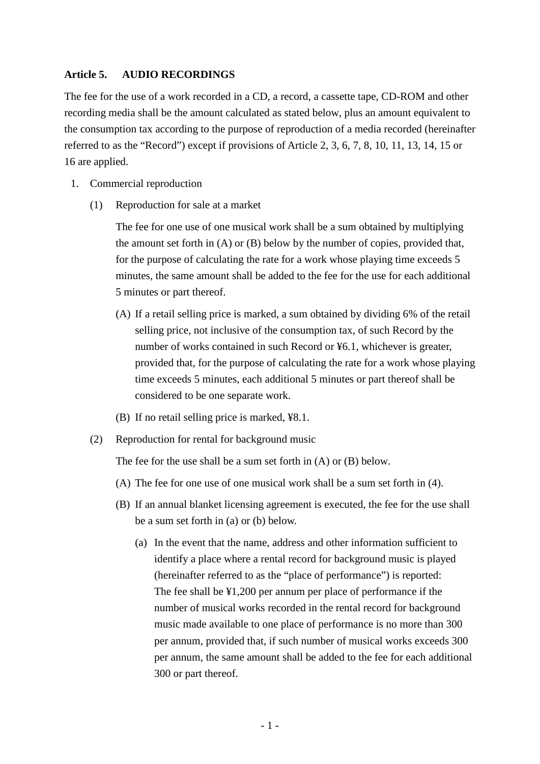### **Article 5. AUDIO RECORDINGS**

The fee for the use of a work recorded in a CD, a record, a cassette tape, CD-ROM and other recording media shall be the amount calculated as stated below, plus an amount equivalent to the consumption tax according to the purpose of reproduction of a media recorded (hereinafter referred to as the "Record") except if provisions of Article 2, 3, 6, 7, 8, 10, 11, 13, 14, 15 or 16 are applied.

- 1. Commercial reproduction
	- (1) Reproduction for sale at a market

The fee for one use of one musical work shall be a sum obtained by multiplying the amount set forth in (A) or (B) below by the number of copies, provided that, for the purpose of calculating the rate for a work whose playing time exceeds 5 minutes, the same amount shall be added to the fee for the use for each additional 5 minutes or part thereof.

- (A) If a retail selling price is marked, a sum obtained by dividing 6% of the retail selling price, not inclusive of the consumption tax, of such Record by the number of works contained in such Record or ¥6.1, whichever is greater, provided that, for the purpose of calculating the rate for a work whose playing time exceeds 5 minutes, each additional 5 minutes or part thereof shall be considered to be one separate work.
- (B) If no retail selling price is marked, ¥8.1.
- (2) Reproduction for rental for background music

The fee for the use shall be a sum set forth in (A) or (B) below.

- (A) The fee for one use of one musical work shall be a sum set forth in (4).
- (B) If an annual blanket licensing agreement is executed, the fee for the use shall be a sum set forth in (a) or (b) below.
	- (a) In the event that the name, address and other information sufficient to identify a place where a rental record for background music is played (hereinafter referred to as the "place of performance") is reported: The fee shall be ¥1,200 per annum per place of performance if the number of musical works recorded in the rental record for background music made available to one place of performance is no more than 300 per annum, provided that, if such number of musical works exceeds 300 per annum, the same amount shall be added to the fee for each additional 300 or part thereof.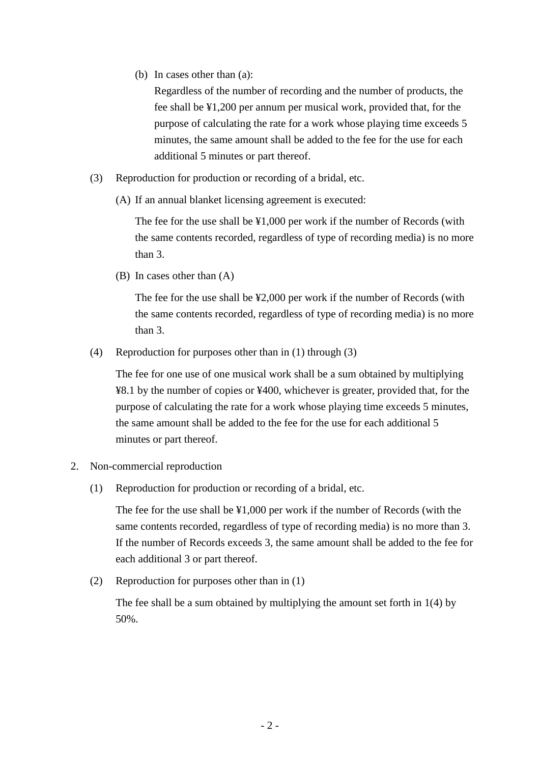(b) In cases other than (a):

Regardless of the number of recording and the number of products, the fee shall be ¥1,200 per annum per musical work, provided that, for the purpose of calculating the rate for a work whose playing time exceeds 5 minutes, the same amount shall be added to the fee for the use for each additional 5 minutes or part thereof.

- (3) Reproduction for production or recording of a bridal, etc.
	- (A) If an annual blanket licensing agreement is executed:

The fee for the use shall be ¥1,000 per work if the number of Records (with the same contents recorded, regardless of type of recording media) is no more than 3.

(B) In cases other than (A)

The fee for the use shall be ¥2,000 per work if the number of Records (with the same contents recorded, regardless of type of recording media) is no more than 3.

(4) Reproduction for purposes other than in (1) through (3)

The fee for one use of one musical work shall be a sum obtained by multiplying ¥8.1 by the number of copies or ¥400, whichever is greater, provided that, for the purpose of calculating the rate for a work whose playing time exceeds 5 minutes, the same amount shall be added to the fee for the use for each additional 5 minutes or part thereof.

- 2. Non-commercial reproduction
	- (1) Reproduction for production or recording of a bridal, etc.

The fee for the use shall be ¥1,000 per work if the number of Records (with the same contents recorded, regardless of type of recording media) is no more than 3. If the number of Records exceeds 3, the same amount shall be added to the fee for each additional 3 or part thereof.

(2) Reproduction for purposes other than in (1)

The fee shall be a sum obtained by multiplying the amount set forth in 1(4) by 50%.